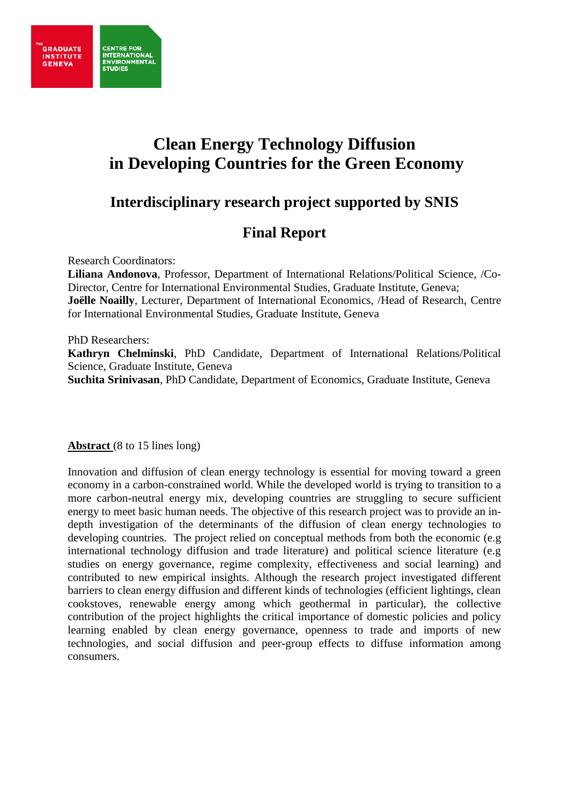

# **Clean Energy Technology Diffusion in Developing Countries for the Green Economy**

# **Interdisciplinary research project supported by SNIS**

# **Final Report**

Research Coordinators:

**CENTRE FOR** 

**STUDIES** 

**INTERNATIONAL ENVIRONMENTA** 

**Liliana Andonova**, Professor, Department of International Relations/Political Science, /Co-Director, Centre for International Environmental Studies, Graduate Institute, Geneva; **Joëlle Noailly**, Lecturer, Department of International Economics, /Head of Research, Centre for International Environmental Studies, Graduate Institute, Geneva

#### PhD Researchers:

**Kathryn Chelminski**, PhD Candidate, Department of International Relations/Political Science, Graduate Institute, Geneva

**Suchita Srinivasan**, PhD Candidate, Department of Economics, Graduate Institute, Geneva

**Abstract** (8 to 15 lines long)

Innovation and diffusion of clean energy technology is essential for moving toward a green economy in a carbon-constrained world. While the developed world is trying to transition to a more carbon-neutral energy mix, developing countries are struggling to secure sufficient energy to meet basic human needs. The objective of this research project was to provide an indepth investigation of the determinants of the diffusion of clean energy technologies to developing countries. The project relied on conceptual methods from both the economic (e.g international technology diffusion and trade literature) and political science literature (e.g studies on energy governance, regime complexity, effectiveness and social learning) and contributed to new empirical insights. Although the research project investigated different barriers to clean energy diffusion and different kinds of technologies (efficient lightings, clean cookstoves, renewable energy among which geothermal in particular), the collective contribution of the project highlights the critical importance of domestic policies and policy learning enabled by clean energy governance, openness to trade and imports of new technologies, and social diffusion and peer-group effects to diffuse information among consumers.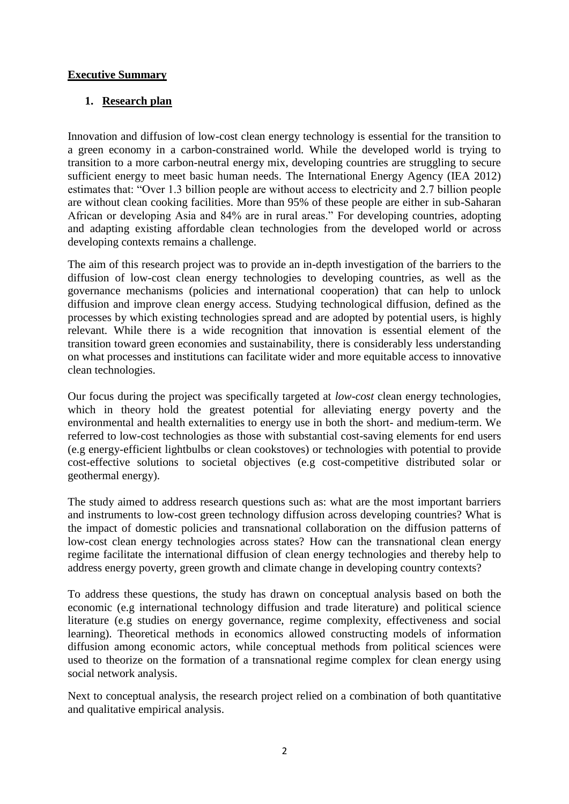#### **Executive Summary**

#### **1. Research plan**

Innovation and diffusion of low-cost clean energy technology is essential for the transition to a green economy in a carbon-constrained world. While the developed world is trying to transition to a more carbon-neutral energy mix, developing countries are struggling to secure sufficient energy to meet basic human needs. The International Energy Agency (IEA 2012) estimates that: "Over 1.3 billion people are without access to electricity and 2.7 billion people are without clean cooking facilities. More than 95% of these people are either in sub-Saharan African or developing Asia and 84% are in rural areas." For developing countries, adopting and adapting existing affordable clean technologies from the developed world or across developing contexts remains a challenge.

The aim of this research project was to provide an in-depth investigation of the barriers to the diffusion of low-cost clean energy technologies to developing countries, as well as the governance mechanisms (policies and international cooperation) that can help to unlock diffusion and improve clean energy access. Studying technological diffusion, defined as the processes by which existing technologies spread and are adopted by potential users, is highly relevant. While there is a wide recognition that innovation is essential element of the transition toward green economies and sustainability, there is considerably less understanding on what processes and institutions can facilitate wider and more equitable access to innovative clean technologies.

Our focus during the project was specifically targeted at *low-cost* clean energy technologies, which in theory hold the greatest potential for alleviating energy poverty and the environmental and health externalities to energy use in both the short- and medium-term. We referred to low-cost technologies as those with substantial cost-saving elements for end users (e.g energy-efficient lightbulbs or clean cookstoves) or technologies with potential to provide cost-effective solutions to societal objectives (e.g cost-competitive distributed solar or geothermal energy).

The study aimed to address research questions such as: what are the most important barriers and instruments to low-cost green technology diffusion across developing countries? What is the impact of domestic policies and transnational collaboration on the diffusion patterns of low-cost clean energy technologies across states? How can the transnational clean energy regime facilitate the international diffusion of clean energy technologies and thereby help to address energy poverty, green growth and climate change in developing country contexts?

To address these questions, the study has drawn on conceptual analysis based on both the economic (e.g international technology diffusion and trade literature) and political science literature (e.g studies on energy governance, regime complexity, effectiveness and social learning). Theoretical methods in economics allowed constructing models of information diffusion among economic actors, while conceptual methods from political sciences were used to theorize on the formation of a transnational regime complex for clean energy using social network analysis.

Next to conceptual analysis, the research project relied on a combination of both quantitative and qualitative empirical analysis.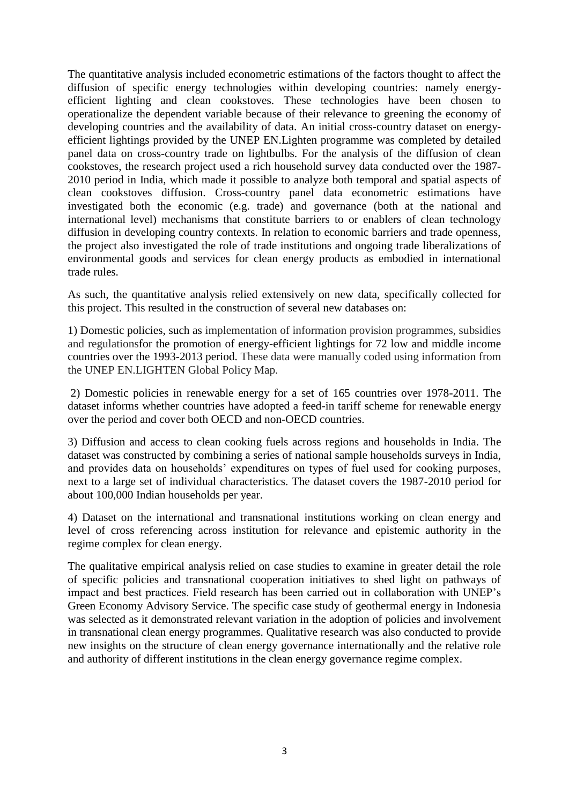The quantitative analysis included econometric estimations of the factors thought to affect the diffusion of specific energy technologies within developing countries: namely energyefficient lighting and clean cookstoves. These technologies have been chosen to operationalize the dependent variable because of their relevance to greening the economy of developing countries and the availability of data. An initial cross-country dataset on energyefficient lightings provided by the UNEP EN.Lighten programme was completed by detailed panel data on cross-country trade on lightbulbs. For the analysis of the diffusion of clean cookstoves, the research project used a rich household survey data conducted over the 1987- 2010 period in India, which made it possible to analyze both temporal and spatial aspects of clean cookstoves diffusion. Cross-country panel data econometric estimations have investigated both the economic (e.g. trade) and governance (both at the national and international level) mechanisms that constitute barriers to or enablers of clean technology diffusion in developing country contexts. In relation to economic barriers and trade openness, the project also investigated the role of trade institutions and ongoing trade liberalizations of environmental goods and services for clean energy products as embodied in international trade rules.

As such, the quantitative analysis relied extensively on new data, specifically collected for this project. This resulted in the construction of several new databases on:

1) Domestic policies, such as implementation of information provision programmes, subsidies and regulationsfor the promotion of energy-efficient lightings for 72 low and middle income countries over the 1993-2013 period. These data were manually coded using information from the UNEP EN.LIGHTEN Global Policy Map.

2) Domestic policies in renewable energy for a set of 165 countries over 1978-2011. The dataset informs whether countries have adopted a feed-in tariff scheme for renewable energy over the period and cover both OECD and non-OECD countries.

3) Diffusion and access to clean cooking fuels across regions and households in India. The dataset was constructed by combining a series of national sample households surveys in India, and provides data on households' expenditures on types of fuel used for cooking purposes, next to a large set of individual characteristics. The dataset covers the 1987-2010 period for about 100,000 Indian households per year.

4) Dataset on the international and transnational institutions working on clean energy and level of cross referencing across institution for relevance and epistemic authority in the regime complex for clean energy.

The qualitative empirical analysis relied on case studies to examine in greater detail the role of specific policies and transnational cooperation initiatives to shed light on pathways of impact and best practices. Field research has been carried out in collaboration with UNEP's Green Economy Advisory Service. The specific case study of geothermal energy in Indonesia was selected as it demonstrated relevant variation in the adoption of policies and involvement in transnational clean energy programmes. Qualitative research was also conducted to provide new insights on the structure of clean energy governance internationally and the relative role and authority of different institutions in the clean energy governance regime complex.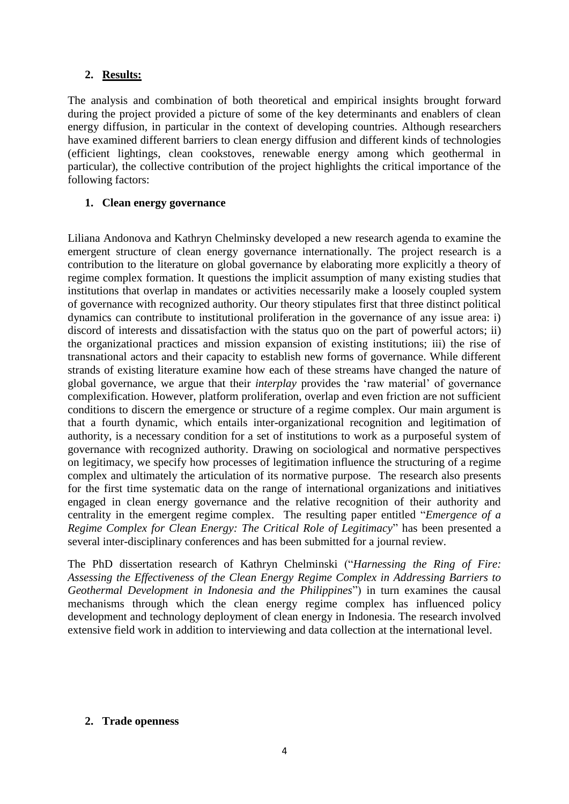### **2. Results:**

The analysis and combination of both theoretical and empirical insights brought forward during the project provided a picture of some of the key determinants and enablers of clean energy diffusion, in particular in the context of developing countries. Although researchers have examined different barriers to clean energy diffusion and different kinds of technologies (efficient lightings, clean cookstoves, renewable energy among which geothermal in particular), the collective contribution of the project highlights the critical importance of the following factors:

#### **1. Clean energy governance**

Liliana Andonova and Kathryn Chelminsky developed a new research agenda to examine the emergent structure of clean energy governance internationally. The project research is a contribution to the literature on global governance by elaborating more explicitly a theory of regime complex formation. It questions the implicit assumption of many existing studies that institutions that overlap in mandates or activities necessarily make a loosely coupled system of governance with recognized authority. Our theory stipulates first that three distinct political dynamics can contribute to institutional proliferation in the governance of any issue area: i) discord of interests and dissatisfaction with the status quo on the part of powerful actors; ii) the organizational practices and mission expansion of existing institutions; iii) the rise of transnational actors and their capacity to establish new forms of governance. While different strands of existing literature examine how each of these streams have changed the nature of global governance, we argue that their *interplay* provides the 'raw material' of governance complexification. However, platform proliferation, overlap and even friction are not sufficient conditions to discern the emergence or structure of a regime complex. Our main argument is that a fourth dynamic, which entails inter-organizational recognition and legitimation of authority, is a necessary condition for a set of institutions to work as a purposeful system of governance with recognized authority. Drawing on sociological and normative perspectives on legitimacy, we specify how processes of legitimation influence the structuring of a regime complex and ultimately the articulation of its normative purpose. The research also presents for the first time systematic data on the range of international organizations and initiatives engaged in clean energy governance and the relative recognition of their authority and centrality in the emergent regime complex. The resulting paper entitled "*Emergence of a Regime Complex for Clean Energy: The Critical Role of Legitimacy*" has been presented a several inter-disciplinary conferences and has been submitted for a journal review.

The PhD dissertation research of Kathryn Chelminski ("*Harnessing the Ring of Fire: Assessing the Effectiveness of the Clean Energy Regime Complex in Addressing Barriers to Geothermal Development in Indonesia and the Philippines*") in turn examines the causal mechanisms through which the clean energy regime complex has influenced policy development and technology deployment of clean energy in Indonesia. The research involved extensive field work in addition to interviewing and data collection at the international level.

#### **2. Trade openness**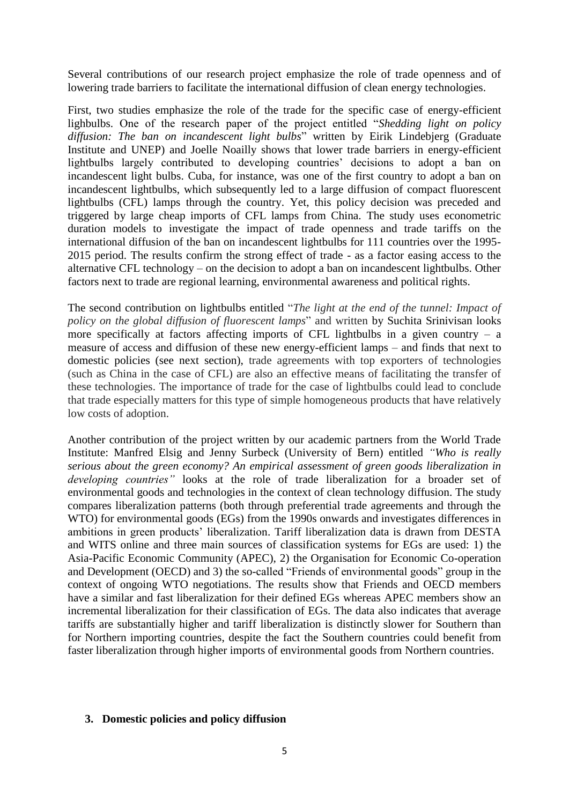Several contributions of our research project emphasize the role of trade openness and of lowering trade barriers to facilitate the international diffusion of clean energy technologies.

First, two studies emphasize the role of the trade for the specific case of energy-efficient lighbulbs. One of the research paper of the project entitled "*Shedding light on policy diffusion: The ban on incandescent light bulbs*" written by Eirik Lindebjerg (Graduate Institute and UNEP) and Joelle Noailly shows that lower trade barriers in energy-efficient lightbulbs largely contributed to developing countries' decisions to adopt a ban on incandescent light bulbs. Cuba, for instance, was one of the first country to adopt a ban on incandescent lightbulbs, which subsequently led to a large diffusion of compact fluorescent lightbulbs (CFL) lamps through the country. Yet, this policy decision was preceded and triggered by large cheap imports of CFL lamps from China. The study uses econometric duration models to investigate the impact of trade openness and trade tariffs on the international diffusion of the ban on incandescent lightbulbs for 111 countries over the 1995- 2015 period. The results confirm the strong effect of trade - as a factor easing access to the alternative CFL technology – on the decision to adopt a ban on incandescent lightbulbs. Other factors next to trade are regional learning, environmental awareness and political rights.

The second contribution on lightbulbs entitled "*The light at the end of the tunnel: Impact of policy on the global diffusion of fluorescent lamps*" and written by Suchita Srinivisan looks more specifically at factors affecting imports of CFL lightbulbs in a given country  $-$  a measure of access and diffusion of these new energy-efficient lamps – and finds that next to domestic policies (see next section), trade agreements with top exporters of technologies (such as China in the case of CFL) are also an effective means of facilitating the transfer of these technologies. The importance of trade for the case of lightbulbs could lead to conclude that trade especially matters for this type of simple homogeneous products that have relatively low costs of adoption.

Another contribution of the project written by our academic partners from the World Trade Institute: Manfred Elsig and Jenny Surbeck (University of Bern) entitled *"Who is really serious about the green economy? An empirical assessment of green goods liberalization in developing countries"* looks at the role of trade liberalization for a broader set of environmental goods and technologies in the context of clean technology diffusion. The study compares liberalization patterns (both through preferential trade agreements and through the WTO) for environmental goods (EGs) from the 1990s onwards and investigates differences in ambitions in green products' liberalization. Tariff liberalization data is drawn from DESTA and WITS online and three main sources of classification systems for EGs are used: 1) the Asia-Pacific Economic Community (APEC), 2) the Organisation for Economic Co-operation and Development (OECD) and 3) the so-called "Friends of environmental goods" group in the context of ongoing WTO negotiations. The results show that Friends and OECD members have a similar and fast liberalization for their defined EGs whereas APEC members show an incremental liberalization for their classification of EGs. The data also indicates that average tariffs are substantially higher and tariff liberalization is distinctly slower for Southern than for Northern importing countries, despite the fact the Southern countries could benefit from faster liberalization through higher imports of environmental goods from Northern countries.

#### **3. Domestic policies and policy diffusion**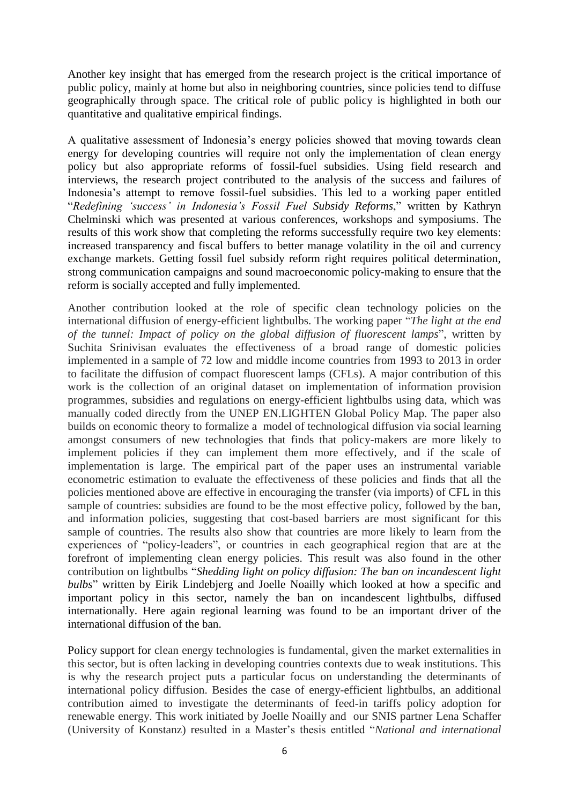Another key insight that has emerged from the research project is the critical importance of public policy, mainly at home but also in neighboring countries, since policies tend to diffuse geographically through space. The critical role of public policy is highlighted in both our quantitative and qualitative empirical findings.

A qualitative assessment of Indonesia's energy policies showed that moving towards clean energy for developing countries will require not only the implementation of clean energy policy but also appropriate reforms of fossil-fuel subsidies. Using field research and interviews, the research project contributed to the analysis of the success and failures of Indonesia's attempt to remove fossil-fuel subsidies. This led to a working paper entitled "*Redefining 'success' in Indonesia's Fossil Fuel Subsidy Reforms*," written by Kathryn Chelminski which was presented at various conferences, workshops and symposiums. The results of this work show that completing the reforms successfully require two key elements: increased transparency and fiscal buffers to better manage volatility in the oil and currency exchange markets. Getting fossil fuel subsidy reform right requires political determination, strong communication campaigns and sound macroeconomic policy-making to ensure that the reform is socially accepted and fully implemented.

Another contribution looked at the role of specific clean technology policies on the international diffusion of energy-efficient lightbulbs. The working paper "*The light at the end of the tunnel: Impact of policy on the global diffusion of fluorescent lamps*", written by Suchita Srinivisan evaluates the effectiveness of a broad range of domestic policies implemented in a sample of 72 low and middle income countries from 1993 to 2013 in order to facilitate the diffusion of compact fluorescent lamps (CFLs). A major contribution of this work is the collection of an original dataset on implementation of information provision programmes, subsidies and regulations on energy-efficient lightbulbs using data, which was manually coded directly from the UNEP EN.LIGHTEN Global Policy Map. The paper also builds on economic theory to formalize a model of technological diffusion via social learning amongst consumers of new technologies that finds that policy-makers are more likely to implement policies if they can implement them more effectively, and if the scale of implementation is large. The empirical part of the paper uses an instrumental variable econometric estimation to evaluate the effectiveness of these policies and finds that all the policies mentioned above are effective in encouraging the transfer (via imports) of CFL in this sample of countries: subsidies are found to be the most effective policy, followed by the ban, and information policies, suggesting that cost-based barriers are most significant for this sample of countries. The results also show that countries are more likely to learn from the experiences of "policy-leaders", or countries in each geographical region that are at the forefront of implementing clean energy policies. This result was also found in the other contribution on lightbulbs "*Shedding light on policy diffusion: The ban on incandescent light bulbs*" written by Eirik Lindebjerg and Joelle Noailly which looked at how a specific and important policy in this sector, namely the ban on incandescent lightbulbs, diffused internationally. Here again regional learning was found to be an important driver of the international diffusion of the ban.

Policy support for clean energy technologies is fundamental, given the market externalities in this sector, but is often lacking in developing countries contexts due to weak institutions. This is why the research project puts a particular focus on understanding the determinants of international policy diffusion. Besides the case of energy-efficient lightbulbs, an additional contribution aimed to investigate the determinants of feed-in tariffs policy adoption for renewable energy. This work initiated by Joelle Noailly and our SNIS partner Lena Schaffer (University of Konstanz) resulted in a Master's thesis entitled "*National and international*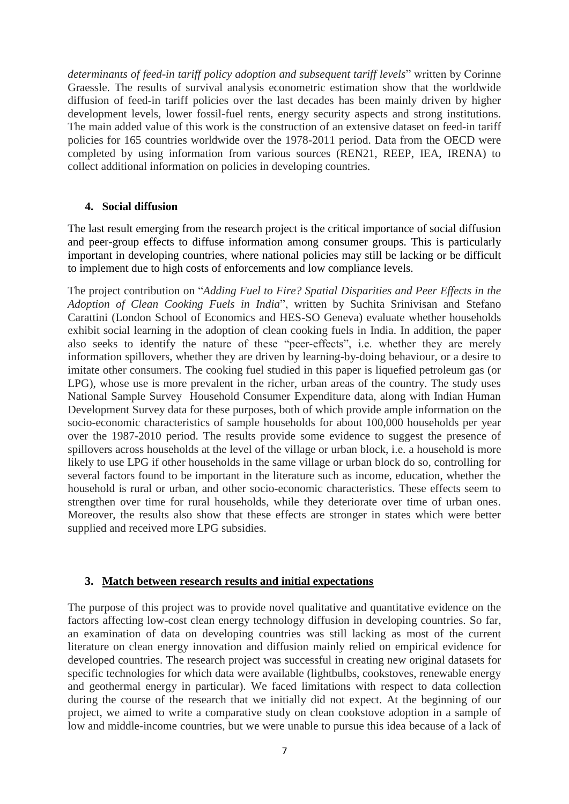*determinants of feed-in tariff policy adoption and subsequent tariff levels*" written by Corinne Graessle. The results of survival analysis econometric estimation show that the worldwide diffusion of feed-in tariff policies over the last decades has been mainly driven by higher development levels, lower fossil-fuel rents, energy security aspects and strong institutions. The main added value of this work is the construction of an extensive dataset on feed-in tariff policies for 165 countries worldwide over the 1978-2011 period. Data from the OECD were completed by using information from various sources (REN21, REEP, IEA, IRENA) to collect additional information on policies in developing countries.

#### **4. Social diffusion**

The last result emerging from the research project is the critical importance of social diffusion and peer-group effects to diffuse information among consumer groups. This is particularly important in developing countries, where national policies may still be lacking or be difficult to implement due to high costs of enforcements and low compliance levels.

The project contribution on "*Adding Fuel to Fire? Spatial Disparities and Peer Effects in the Adoption of Clean Cooking Fuels in India*", written by Suchita Srinivisan and Stefano Carattini (London School of Economics and HES-SO Geneva) evaluate whether households exhibit social learning in the adoption of clean cooking fuels in India. In addition, the paper also seeks to identify the nature of these "peer-effects", i.e. whether they are merely information spillovers, whether they are driven by learning-by-doing behaviour, or a desire to imitate other consumers. The cooking fuel studied in this paper is liquefied petroleum gas (or LPG), whose use is more prevalent in the richer, urban areas of the country. The study uses National Sample Survey Household Consumer Expenditure data, along with Indian Human Development Survey data for these purposes, both of which provide ample information on the socio-economic characteristics of sample households for about 100,000 households per year over the 1987-2010 period. The results provide some evidence to suggest the presence of spillovers across households at the level of the village or urban block, i.e. a household is more likely to use LPG if other households in the same village or urban block do so, controlling for several factors found to be important in the literature such as income, education, whether the household is rural or urban, and other socio-economic characteristics. These effects seem to strengthen over time for rural households, while they deteriorate over time of urban ones. Moreover, the results also show that these effects are stronger in states which were better supplied and received more LPG subsidies.

#### **3. Match between research results and initial expectations**

The purpose of this project was to provide novel qualitative and quantitative evidence on the factors affecting low-cost clean energy technology diffusion in developing countries. So far, an examination of data on developing countries was still lacking as most of the current literature on clean energy innovation and diffusion mainly relied on empirical evidence for developed countries. The research project was successful in creating new original datasets for specific technologies for which data were available (lightbulbs, cookstoves, renewable energy and geothermal energy in particular). We faced limitations with respect to data collection during the course of the research that we initially did not expect. At the beginning of our project, we aimed to write a comparative study on clean cookstove adoption in a sample of low and middle-income countries, but we were unable to pursue this idea because of a lack of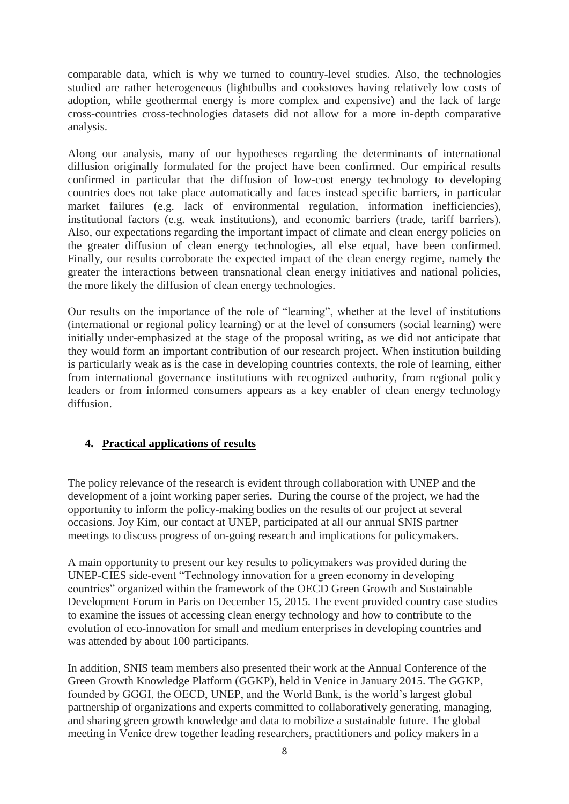comparable data, which is why we turned to country-level studies. Also, the technologies studied are rather heterogeneous (lightbulbs and cookstoves having relatively low costs of adoption, while geothermal energy is more complex and expensive) and the lack of large cross-countries cross-technologies datasets did not allow for a more in-depth comparative analysis.

Along our analysis, many of our hypotheses regarding the determinants of international diffusion originally formulated for the project have been confirmed. Our empirical results confirmed in particular that the diffusion of low-cost energy technology to developing countries does not take place automatically and faces instead specific barriers, in particular market failures (e.g. lack of environmental regulation, information inefficiencies), institutional factors (e.g. weak institutions), and economic barriers (trade, tariff barriers). Also, our expectations regarding the important impact of climate and clean energy policies on the greater diffusion of clean energy technologies, all else equal, have been confirmed. Finally, our results corroborate the expected impact of the clean energy regime, namely the greater the interactions between transnational clean energy initiatives and national policies, the more likely the diffusion of clean energy technologies.

Our results on the importance of the role of "learning", whether at the level of institutions (international or regional policy learning) or at the level of consumers (social learning) were initially under-emphasized at the stage of the proposal writing, as we did not anticipate that they would form an important contribution of our research project. When institution building is particularly weak as is the case in developing countries contexts, the role of learning, either from international governance institutions with recognized authority, from regional policy leaders or from informed consumers appears as a key enabler of clean energy technology diffusion.

#### **4. Practical applications of results**

The policy relevance of the research is evident through collaboration with UNEP and the development of a joint working paper series. During the course of the project, we had the opportunity to inform the policy-making bodies on the results of our project at several occasions. Joy Kim, our contact at UNEP, participated at all our annual SNIS partner meetings to discuss progress of on-going research and implications for policymakers.

A main opportunity to present our key results to policymakers was provided during the UNEP-CIES side-event "Technology innovation for a green economy in developing countries" organized within the framework of the OECD Green Growth and Sustainable Development Forum in Paris on December 15, 2015. The event provided country case studies to examine the issues of accessing clean energy technology and how to contribute to the evolution of eco-innovation for small and medium enterprises in developing countries and was attended by about 100 participants.

In addition, SNIS team members also presented their work at the Annual Conference of the Green Growth Knowledge Platform (GGKP), held in Venice in January 2015. The GGKP, founded by GGGI, the OECD, UNEP, and the World Bank, is the world's largest global partnership of organizations and experts committed to collaboratively generating, managing, and sharing green growth knowledge and data to mobilize a sustainable future. The global meeting in Venice drew together leading researchers, practitioners and policy makers in a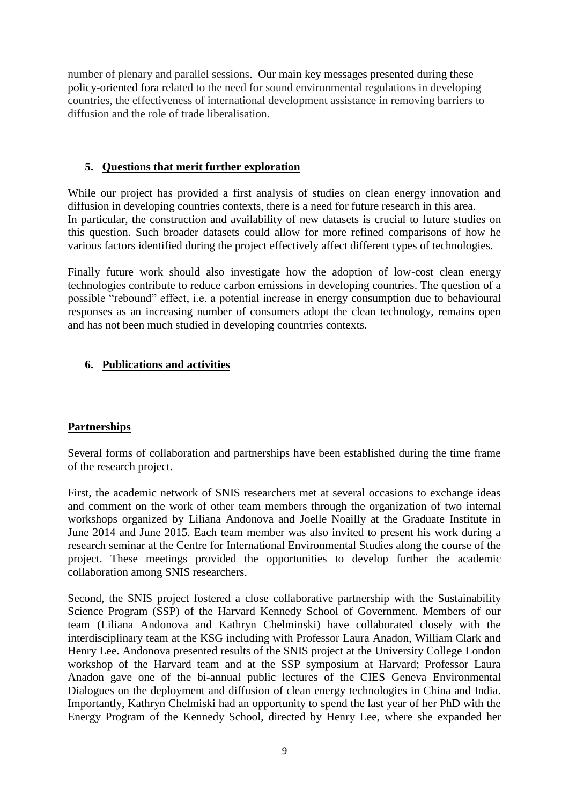number of plenary and parallel sessions. Our main key messages presented during these policy-oriented fora related to the need for sound environmental regulations in developing countries, the effectiveness of international development assistance in removing barriers to diffusion and the role of trade liberalisation.

#### **5. Questions that merit further exploration**

While our project has provided a first analysis of studies on clean energy innovation and diffusion in developing countries contexts, there is a need for future research in this area. In particular, the construction and availability of new datasets is crucial to future studies on this question. Such broader datasets could allow for more refined comparisons of how he various factors identified during the project effectively affect different types of technologies.

Finally future work should also investigate how the adoption of low-cost clean energy technologies contribute to reduce carbon emissions in developing countries. The question of a possible "rebound" effect, i.e. a potential increase in energy consumption due to behavioural responses as an increasing number of consumers adopt the clean technology, remains open and has not been much studied in developing countrries contexts.

### **6. Publications and activities**

#### **Partnerships**

Several forms of collaboration and partnerships have been established during the time frame of the research project.

First, the academic network of SNIS researchers met at several occasions to exchange ideas and comment on the work of other team members through the organization of two internal workshops organized by Liliana Andonova and Joelle Noailly at the Graduate Institute in June 2014 and June 2015. Each team member was also invited to present his work during a research seminar at the Centre for International Environmental Studies along the course of the project. These meetings provided the opportunities to develop further the academic collaboration among SNIS researchers.

Second, the SNIS project fostered a close collaborative partnership with the Sustainability Science Program (SSP) of the Harvard Kennedy School of Government. Members of our team (Liliana Andonova and Kathryn Chelminski) have collaborated closely with the interdisciplinary team at the KSG including with Professor Laura Anadon, William Clark and Henry Lee. Andonova presented results of the SNIS project at the University College London workshop of the Harvard team and at the SSP symposium at Harvard; Professor Laura Anadon gave one of the bi-annual public lectures of the CIES Geneva Environmental Dialogues on the deployment and diffusion of clean energy technologies in China and India. Importantly, Kathryn Chelmiski had an opportunity to spend the last year of her PhD with the Energy Program of the Kennedy School, directed by Henry Lee, where she expanded her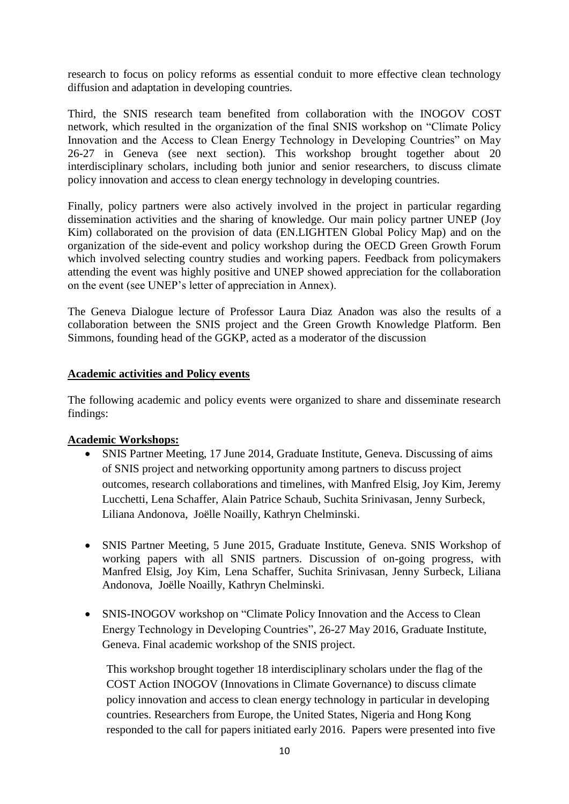research to focus on policy reforms as essential conduit to more effective clean technology diffusion and adaptation in developing countries.

Third, the SNIS research team benefited from collaboration with the INOGOV COST network, which resulted in the organization of the final SNIS workshop on "Climate Policy Innovation and the Access to Clean Energy Technology in Developing Countries" on May 26-27 in Geneva (see next section). This workshop brought together about 20 interdisciplinary scholars, including both junior and senior researchers, to discuss climate policy innovation and access to clean energy technology in developing countries.

Finally, policy partners were also actively involved in the project in particular regarding dissemination activities and the sharing of knowledge. Our main policy partner UNEP (Joy Kim) collaborated on the provision of data (EN.LIGHTEN Global Policy Map) and on the organization of the side-event and policy workshop during the OECD Green Growth Forum which involved selecting country studies and working papers. Feedback from policymakers attending the event was highly positive and UNEP showed appreciation for the collaboration on the event (see UNEP's letter of appreciation in Annex).

The Geneva Dialogue lecture of Professor Laura Diaz Anadon was also the results of a collaboration between the SNIS project and the Green Growth Knowledge Platform. Ben Simmons, founding head of the GGKP, acted as a moderator of the discussion

#### **Academic activities and Policy events**

The following academic and policy events were organized to share and disseminate research findings:

#### **Academic Workshops:**

- SNIS Partner Meeting, 17 June 2014, Graduate Institute, Geneva. Discussing of aims of SNIS project and networking opportunity among partners to discuss project outcomes, research collaborations and timelines, with Manfred Elsig, Joy Kim, Jeremy Lucchetti, Lena Schaffer, Alain Patrice Schaub, Suchita Srinivasan, Jenny Surbeck, Liliana Andonova, Joëlle Noailly, Kathryn Chelminski.
- SNIS Partner Meeting, 5 June 2015, Graduate Institute, Geneva. SNIS Workshop of working papers with all SNIS partners. Discussion of on-going progress, with Manfred Elsig, Joy Kim, Lena Schaffer, Suchita Srinivasan, Jenny Surbeck, Liliana Andonova, Joëlle Noailly, Kathryn Chelminski.
- SNIS-INOGOV workshop on "Climate Policy Innovation and the Access to Clean Energy Technology in Developing Countries", 26-27 May 2016, Graduate Institute, Geneva. Final academic workshop of the SNIS project.

This workshop brought together 18 interdisciplinary scholars under the flag of the COST Action INOGOV (Innovations in Climate Governance) to discuss climate policy innovation and access to clean energy technology in particular in developing countries. Researchers from Europe, the United States, Nigeria and Hong Kong responded to the call for papers initiated early 2016. Papers were presented into five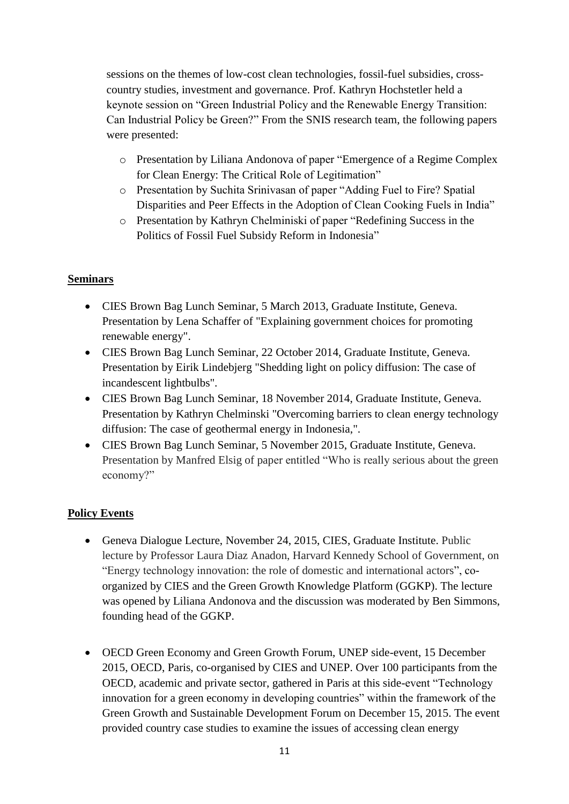sessions on the themes of low-cost clean technologies, fossil-fuel subsidies, crosscountry studies, investment and governance. Prof. Kathryn Hochstetler held a keynote session on "Green Industrial Policy and the Renewable Energy Transition: Can Industrial Policy be Green?" From the SNIS research team, the following papers were presented:

- o Presentation by Liliana Andonova of paper "Emergence of a Regime Complex for Clean Energy: The Critical Role of Legitimation"
- o Presentation by Suchita Srinivasan of paper "Adding Fuel to Fire? Spatial Disparities and Peer Effects in the Adoption of Clean Cooking Fuels in India"
- o Presentation by Kathryn Chelminiski of paper "Redefining Success in the Politics of Fossil Fuel Subsidy Reform in Indonesia"

#### **Seminars**

- CIES Brown Bag Lunch Seminar, 5 March 2013, Graduate Institute, Geneva. Presentation by Lena Schaffer of "Explaining government choices for promoting renewable energy".
- CIES Brown Bag Lunch Seminar, 22 October 2014, Graduate Institute, Geneva. Presentation by Eirik Lindebjerg "Shedding light on policy diffusion: The case of incandescent lightbulbs".
- CIES Brown Bag Lunch Seminar, 18 November 2014, Graduate Institute, Geneva. Presentation by Kathryn Chelminski "Overcoming barriers to clean energy technology diffusion: The case of geothermal energy in Indonesia,".
- CIES Brown Bag Lunch Seminar, 5 November 2015, Graduate Institute, Geneva. Presentation by Manfred Elsig of paper entitled "Who is really serious about the green economy?"

## **Policy Events**

- Geneva Dialogue Lecture, November 24, 2015, CIES, Graduate Institute. Public lecture by Professor Laura Diaz Anadon, Harvard Kennedy School of Government, on "Energy technology innovation: the role of domestic and international actors", coorganized by CIES and the Green Growth Knowledge Platform (GGKP). The lecture was opened by Liliana Andonova and the discussion was moderated by Ben Simmons, founding head of the GGKP.
- OECD Green Economy and Green Growth Forum, UNEP side-event, 15 December 2015, OECD, Paris, co-organised by CIES and UNEP. Over 100 participants from the OECD, academic and private sector, gathered in Paris at this side-event "Technology innovation for a green economy in developing countries" within the framework of the Green Growth and Sustainable Development Forum on December 15, 2015. The event provided country case studies to examine the issues of accessing clean energy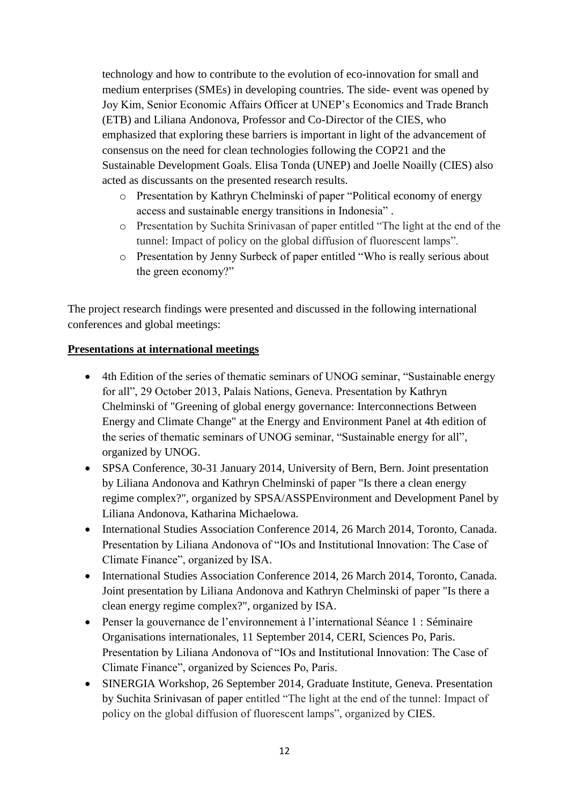technology and how to contribute to the evolution of eco-innovation for small and medium enterprises (SMEs) in developing countries. The side- event was opened by Joy Kim, Senior Economic Affairs Officer at UNEP's Economics and Trade Branch (ETB) and Liliana Andonova, Professor and Co-Director of the CIES, who emphasized that exploring these barriers is important in light of the advancement of consensus on the need for clean technologies following the COP21 and the Sustainable Development Goals. Elisa Tonda (UNEP) and Joelle Noailly (CIES) also acted as discussants on the presented research results.

- o Presentation by Kathryn Chelminski of paper "Political economy of energy access and sustainable energy transitions in Indonesia" .
- o Presentation by Suchita Srinivasan of paper entitled "The light at the end of the tunnel: Impact of policy on the global diffusion of fluorescent lamps".
- o Presentation by Jenny Surbeck of paper entitled "Who is really serious about the green economy?"

The project research findings were presented and discussed in the following international conferences and global meetings:

### **Presentations at international meetings**

- 4th Edition of the series of thematic seminars of UNOG seminar, "Sustainable energy for all", 29 October 2013, Palais Nations, Geneva. Presentation by Kathryn Chelminski of "Greening of global energy governance: Interconnections Between Energy and Climate Change" at the Energy and Environment Panel at 4th edition of the series of thematic seminars of UNOG seminar, "Sustainable energy for all", organized by UNOG.
- SPSA Conference, 30-31 January 2014, University of Bern, Bern. Joint presentation by Liliana Andonova and Kathryn Chelminski of paper "Is there a clean energy regime complex?", organized by SPSA/ASSPEnvironment and Development Panel by Liliana Andonova, Katharina Michaelowa.
- International Studies Association Conference 2014, 26 March 2014, Toronto, Canada. Presentation by Liliana Andonova of "IOs and Institutional Innovation: The Case of Climate Finance", organized by ISA.
- International Studies Association Conference 2014, 26 March 2014, Toronto, Canada. Joint presentation by Liliana Andonova and Kathryn Chelminski of paper "Is there a clean energy regime complex?", organized by ISA.
- Penser la gouvernance de l'environnement à l'international Séance 1 : Séminaire Organisations internationales, 11 September 2014, CERI, Sciences Po, Paris. Presentation by Liliana Andonova of "IOs and Institutional Innovation: The Case of Climate Finance", organized by Sciences Po, Paris.
- SINERGIA Workshop, 26 September 2014, Graduate Institute, Geneva. Presentation by Suchita Srinivasan of paper entitled "The light at the end of the tunnel: Impact of policy on the global diffusion of fluorescent lamps", organized by CIES.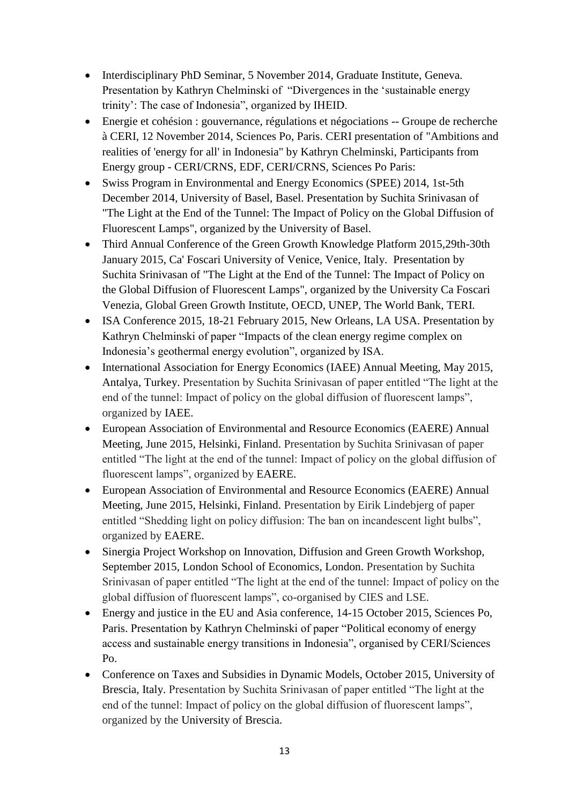- Interdisciplinary PhD Seminar, 5 November 2014, Graduate Institute, Geneva. Presentation by Kathryn Chelminski of "Divergences in the 'sustainable energy trinity': The case of Indonesia", organized by IHEID.
- Energie et cohésion : gouvernance, régulations et négociations -- Groupe de recherche à CERI, 12 November 2014, Sciences Po, Paris. CERI presentation of "Ambitions and realities of 'energy for all' in Indonesia" by Kathryn Chelminski, Participants from Energy group - CERI/CRNS, EDF, CERI/CRNS, Sciences Po Paris:
- Swiss Program in Environmental and Energy Economics (SPEE) 2014, 1st-5th December 2014, University of Basel, Basel. Presentation by Suchita Srinivasan of "The Light at the End of the Tunnel: The Impact of Policy on the Global Diffusion of Fluorescent Lamps", organized by the University of Basel.
- Third Annual Conference of the Green Growth Knowledge Platform 2015,29th-30th January 2015, Ca' Foscari University of Venice, Venice, Italy. Presentation by Suchita Srinivasan of "The Light at the End of the Tunnel: The Impact of Policy on the Global Diffusion of Fluorescent Lamps", organized by the University Ca Foscari Venezia, Global Green Growth Institute, OECD, UNEP, The World Bank, TERI.
- ISA Conference 2015, 18-21 February 2015, New Orleans, LA USA. Presentation by Kathryn Chelminski of paper "Impacts of the clean energy regime complex on Indonesia's geothermal energy evolution", organized by ISA.
- International Association for Energy Economics (IAEE) Annual Meeting, May 2015, Antalya, Turkey. Presentation by Suchita Srinivasan of paper entitled "The light at the end of the tunnel: Impact of policy on the global diffusion of fluorescent lamps", organized by IAEE.
- European Association of Environmental and Resource Economics (EAERE) Annual Meeting, June 2015, Helsinki, Finland. Presentation by Suchita Srinivasan of paper entitled "The light at the end of the tunnel: Impact of policy on the global diffusion of fluorescent lamps", organized by EAERE.
- European Association of Environmental and Resource Economics (EAERE) Annual Meeting, June 2015, Helsinki, Finland. Presentation by Eirik Lindebjerg of paper entitled "Shedding light on policy diffusion: The ban on incandescent light bulbs", organized by EAERE.
- Sinergia Project Workshop on Innovation, Diffusion and Green Growth Workshop, September 2015, London School of Economics, London. Presentation by Suchita Srinivasan of paper entitled "The light at the end of the tunnel: Impact of policy on the global diffusion of fluorescent lamps", co-organised by CIES and LSE.
- Energy and justice in the EU and Asia conference, 14-15 October 2015, Sciences Po, Paris. Presentation by Kathryn Chelminski of paper "Political economy of energy access and sustainable energy transitions in Indonesia", organised by CERI/Sciences Po.
- Conference on Taxes and Subsidies in Dynamic Models, October 2015, University of Brescia, Italy. Presentation by Suchita Srinivasan of paper entitled "The light at the end of the tunnel: Impact of policy on the global diffusion of fluorescent lamps", organized by the University of Brescia.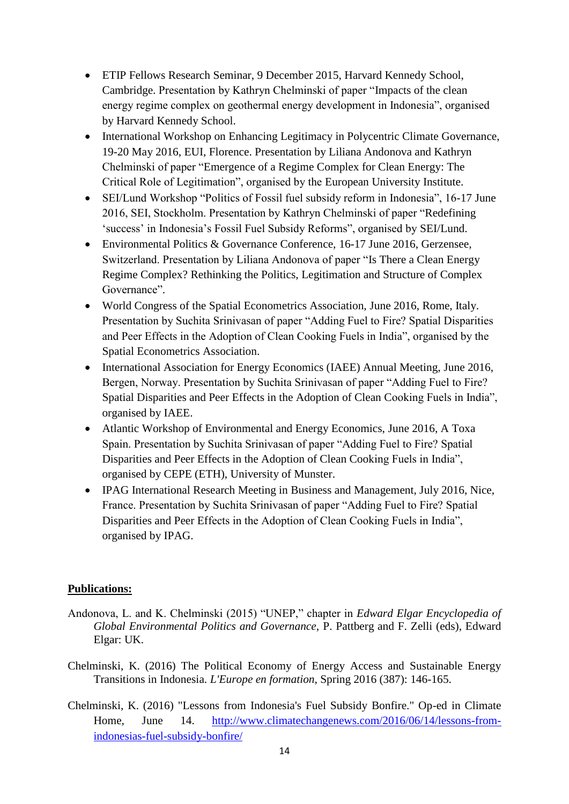- ETIP Fellows Research Seminar, 9 December 2015, Harvard Kennedy School, Cambridge. Presentation by Kathryn Chelminski of paper "Impacts of the clean energy regime complex on geothermal energy development in Indonesia", organised by Harvard Kennedy School.
- International Workshop on Enhancing Legitimacy in Polycentric Climate Governance, 19-20 May 2016, EUI, Florence. Presentation by Liliana Andonova and Kathryn Chelminski of paper "Emergence of a Regime Complex for Clean Energy: The Critical Role of Legitimation", organised by the European University Institute.
- SEI/Lund Workshop "Politics of Fossil fuel subsidy reform in Indonesia", 16-17 June 2016, SEI, Stockholm. Presentation by Kathryn Chelminski of paper "Redefining 'success' in Indonesia's Fossil Fuel Subsidy Reforms", organised by SEI/Lund.
- Environmental Politics & Governance Conference, 16-17 June 2016, Gerzensee, Switzerland. Presentation by Liliana Andonova of paper "Is There a Clean Energy Regime Complex? Rethinking the Politics, Legitimation and Structure of Complex Governance".
- World Congress of the Spatial Econometrics Association, June 2016, Rome, Italy. Presentation by Suchita Srinivasan of paper "Adding Fuel to Fire? Spatial Disparities and Peer Effects in the Adoption of Clean Cooking Fuels in India", organised by the Spatial Econometrics Association.
- International Association for Energy Economics (IAEE) Annual Meeting, June 2016, Bergen, Norway. Presentation by Suchita Srinivasan of paper "Adding Fuel to Fire? Spatial Disparities and Peer Effects in the Adoption of Clean Cooking Fuels in India", organised by IAEE.
- Atlantic Workshop of Environmental and Energy Economics, June 2016, A Toxa Spain. Presentation by Suchita Srinivasan of paper "Adding Fuel to Fire? Spatial Disparities and Peer Effects in the Adoption of Clean Cooking Fuels in India", organised by CEPE (ETH), University of Munster.
- IPAG International Research Meeting in Business and Management, July 2016, Nice, France. Presentation by Suchita Srinivasan of paper "Adding Fuel to Fire? Spatial Disparities and Peer Effects in the Adoption of Clean Cooking Fuels in India", organised by IPAG.

#### **Publications:**

- Andonova, L. and K. Chelminski (2015) "UNEP," chapter in *Edward Elgar Encyclopedia of Global Environmental Politics and Governance*, P. Pattberg and F. Zelli (eds), Edward Elgar: UK.
- Chelminski, K. (2016) The Political Economy of Energy Access and Sustainable Energy Transitions in Indonesia. *L'Europe en formation*, Spring 2016 (387): 146-165.
- Chelminski, K. (2016) "Lessons from Indonesia's Fuel Subsidy Bonfire." Op-ed in Climate Home, June 14. [http://www.climatechangenews.com/2016/06/14/lessons-from](http://www.climatechangenews.com/2016/06/14/lessons-from-indonesias-fuel-subsidy-bonfire/)[indonesias-fuel-subsidy-bonfire/](http://www.climatechangenews.com/2016/06/14/lessons-from-indonesias-fuel-subsidy-bonfire/)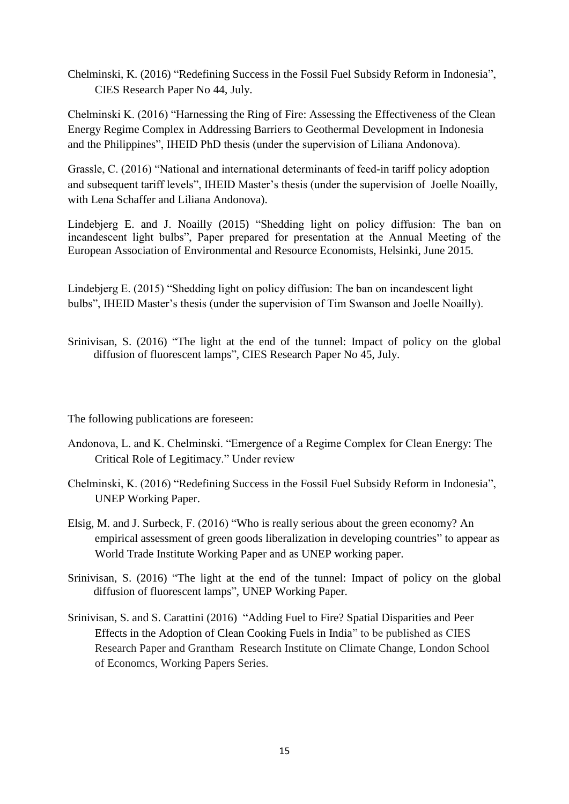Chelminski, K. (2016) "Redefining Success in the Fossil Fuel Subsidy Reform in Indonesia", CIES Research Paper No 44, July.

Chelminski K. (2016) "Harnessing the Ring of Fire: Assessing the Effectiveness of the Clean Energy Regime Complex in Addressing Barriers to Geothermal Development in Indonesia and the Philippines", IHEID PhD thesis (under the supervision of Liliana Andonova).

Grassle, C. (2016) "National and international determinants of feed-in tariff policy adoption and subsequent tariff levels", IHEID Master's thesis (under the supervision of Joelle Noailly, with Lena Schaffer and Liliana Andonova).

Lindebjerg E. and J. Noailly (2015) "Shedding light on policy diffusion: The ban on incandescent light bulbs", Paper prepared for presentation at the Annual Meeting of the European Association of Environmental and Resource Economists, Helsinki, June 2015.

Lindebjerg E. (2015) "Shedding light on policy diffusion: The ban on incandescent light bulbs", IHEID Master's thesis (under the supervision of Tim Swanson and Joelle Noailly).

Srinivisan, S. (2016) "The light at the end of the tunnel: Impact of policy on the global diffusion of fluorescent lamps", CIES Research Paper No 45, July.

The following publications are foreseen:

- Andonova, L. and K. Chelminski. "Emergence of a Regime Complex for Clean Energy: The Critical Role of Legitimacy." Under review
- Chelminski, K. (2016) "Redefining Success in the Fossil Fuel Subsidy Reform in Indonesia", UNEP Working Paper.
- Elsig, M. and J. Surbeck, F. (2016) "Who is really serious about the green economy? An empirical assessment of green goods liberalization in developing countries" to appear as World Trade Institute Working Paper and as UNEP working paper.
- Srinivisan, S. (2016) "The light at the end of the tunnel: Impact of policy on the global diffusion of fluorescent lamps", UNEP Working Paper.
- Srinivisan, S. and S. Carattini (2016) "Adding Fuel to Fire? Spatial Disparities and Peer Effects in the Adoption of Clean Cooking Fuels in India" to be published as CIES Research Paper and Grantham Research Institute on Climate Change, London School of Economcs, Working Papers Series.